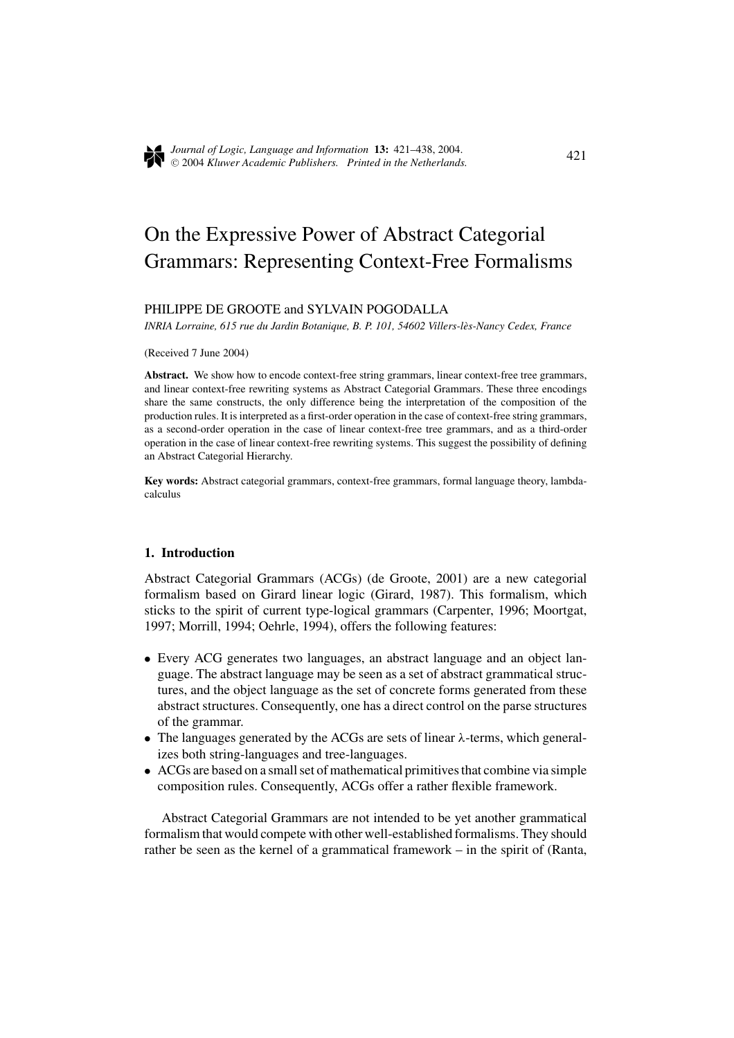

421 *Journal of Logic, Language and Information* **13:** 421–438, 2004. <sup>C</sup> 2004 *Kluwer Academic Publishers. Printed in the Netherlands.*

# On the Expressive Power of Abstract Categorial Grammars: Representing Context-Free Formalisms

# PHILIPPE DE GROOTE and SYLVAIN POGODALLA

*INRIA Lorraine, 615 rue du Jardin Botanique, B. P. 101, 54602 Villers-les-Nancy Cedex, France `*

(Received 7 June 2004)

**Abstract.** We show how to encode context-free string grammars, linear context-free tree grammars, and linear context-free rewriting systems as Abstract Categorial Grammars. These three encodings share the same constructs, the only difference being the interpretation of the composition of the production rules. It is interpreted as a first-order operation in the case of context-free string grammars, as a second-order operation in the case of linear context-free tree grammars, and as a third-order operation in the case of linear context-free rewriting systems. This suggest the possibility of defining an Abstract Categorial Hierarchy.

**Key words:** Abstract categorial grammars, context-free grammars, formal language theory, lambdacalculus

#### **1. Introduction**

Abstract Categorial Grammars (ACGs) (de Groote, 2001) are a new categorial formalism based on Girard linear logic (Girard, 1987). This formalism, which sticks to the spirit of current type-logical grammars (Carpenter, 1996; Moortgat, 1997; Morrill, 1994; Oehrle, 1994), offers the following features:

- Every ACG generates two languages, an abstract language and an object language. The abstract language may be seen as a set of abstract grammatical structures, and the object language as the set of concrete forms generated from these abstract structures. Consequently, one has a direct control on the parse structures of the grammar.
- The languages generated by the ACGs are sets of linear  $\lambda$ -terms, which generalizes both string-languages and tree-languages.
- ACGs are based on a small set of mathematical primitives that combine via simple composition rules. Consequently, ACGs offer a rather flexible framework.

Abstract Categorial Grammars are not intended to be yet another grammatical formalism that would compete with other well-established formalisms. They should rather be seen as the kernel of a grammatical framework – in the spirit of (Ranta,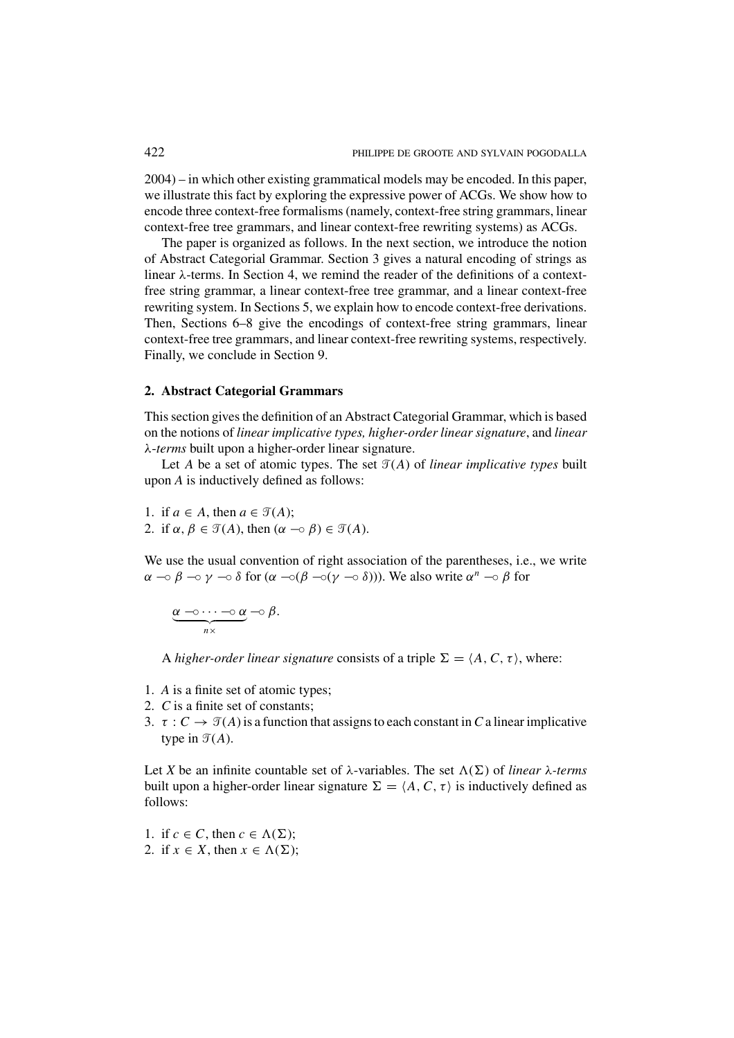2004) – in which other existing grammatical models may be encoded. In this paper, we illustrate this fact by exploring the expressive power of ACGs. We show how to encode three context-free formalisms (namely, context-free string grammars, linear context-free tree grammars, and linear context-free rewriting systems) as ACGs.

The paper is organized as follows. In the next section, we introduce the notion of Abstract Categorial Grammar. Section 3 gives a natural encoding of strings as linear λ-terms. In Section 4, we remind the reader of the definitions of a contextfree string grammar, a linear context-free tree grammar, and a linear context-free rewriting system. In Sections 5, we explain how to encode context-free derivations. Then, Sections 6–8 give the encodings of context-free string grammars, linear context-free tree grammars, and linear context-free rewriting systems, respectively. Finally, we conclude in Section 9.

# **2. Abstract Categorial Grammars**

This section gives the definition of an Abstract Categorial Grammar, which is based on the notions of *linear implicative types, higher-order linear signature*, and *linear* λ-*terms* built upon a higher-order linear signature.

Let *A* be a set of atomic types. The set  $\mathcal{T}(A)$  of *linear implicative types* built upon *A* is inductively defined as follows:

1. if  $a \in A$ , then  $a \in \mathcal{T}(A)$ ; 2. if  $\alpha, \beta \in \mathcal{T}(A)$ , then  $(\alpha \multimap \beta) \in \mathcal{T}(A)$ .

We use the usual convention of right association of the parentheses, i.e., we write  $\alpha \to \beta \to \gamma \to \delta$  for  $(\alpha \to (\beta \to (\gamma \to \delta)))$ . We also write  $\alpha^n \to \beta$  for

$$
\underbrace{\alpha\multimap\cdots\multimap\alpha}_{n\times}\multimap\beta.
$$

A *higher-order linear signature* consists of a triple  $\Sigma = \langle A, C, \tau \rangle$ , where:

- 1. *A* is a finite set of atomic types;
- 2. *C* is a finite set of constants;
- 3.  $\tau : C \to \mathcal{T}(A)$  is a function that assigns to each constant in *C* a linear implicative type in  $\mathcal{T}(A)$ .

Let *X* be an infinite countable set of  $\lambda$ -variables. The set  $\Lambda(\Sigma)$  of *linear*  $\lambda$ -terms built upon a higher-order linear signature  $\Sigma = \langle A, C, \tau \rangle$  is inductively defined as follows:

- 1. if  $c \in C$ , then  $c \in \Lambda(\Sigma)$ ;
- 2. if  $x \in X$ , then  $x \in \Lambda(\Sigma)$ ;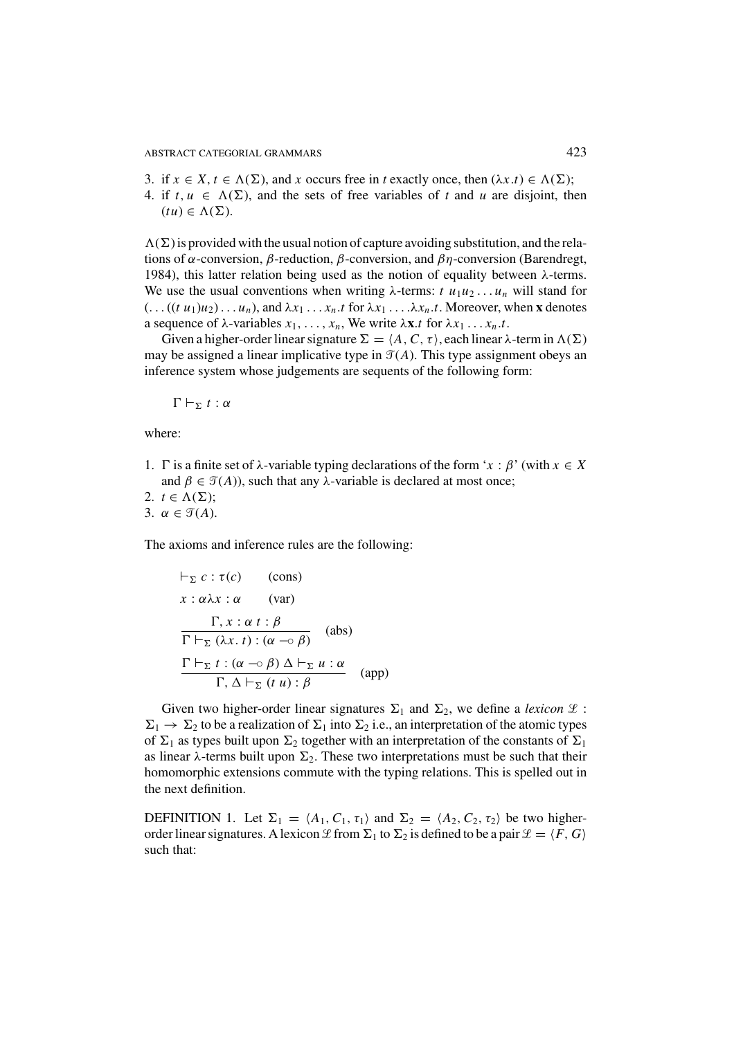- 3. if  $x \in X$ ,  $t \in \Lambda(\Sigma)$ , and *x* occurs free in *t* exactly once, then  $(\lambda x.t) \in \Lambda(\Sigma)$ ;
- 4. if  $t, u \in \Lambda(\Sigma)$ , and the sets of free variables of t and u are disjoint, then  $(tu) \in \Lambda(\Sigma)$ .

 $\Lambda(\Sigma)$  is provided with the usual notion of capture avoiding substitution, and the relations of  $\alpha$ -conversion,  $\beta$ -reduction,  $\beta$ -conversion, and  $\beta\eta$ -conversion (Barendregt, 1984), this latter relation being used as the notion of equality between  $λ$ -terms. We use the usual conventions when writing  $\lambda$ -terms:  $t u_1 u_2 \ldots u_n$  will stand for  $(\ldots ((t \ u_1)u_2) \ldots u_n)$ , and  $\lambda x_1 \ldots x_n$ .*t* for  $\lambda x_1 \ldots \lambda x_n$ .*t*. Moreover, when **x** denotes a sequence of  $\lambda$ -variables  $x_1, \ldots, x_n$ , We write  $\lambda \mathbf{x} \cdot t$  for  $\lambda x_1 \ldots x_n \cdot t$ .

Given a higher-order linear signature  $\Sigma = \langle A, C, \tau \rangle$ , each linear  $\lambda$ -term in  $\Lambda(\Sigma)$ may be assigned a linear implicative type in  $\mathcal{T}(A)$ . This type assignment obeys an inference system whose judgements are sequents of the following form:

 $\Gamma\vdash_{\Sigma} t:\alpha$ 

where:

- 1. Γ is a finite set of  $\lambda$ -variable typing declarations of the form '*x* :  $\beta$ ' (with  $x \in X$ and  $\beta \in \mathcal{T}(A)$ ), such that any  $\lambda$ -variable is declared at most once;
- 2.  $t \in \Lambda(\Sigma)$ ; 3.  $\alpha \in \mathcal{T}(A)$ .

The axioms and inference rules are the following:

$$
\vdash_{\Sigma} c : \tau(c) \qquad \text{(cons)}
$$
\n
$$
x : \alpha \lambda x : \alpha \qquad \text{(var)}
$$
\n
$$
\frac{\Gamma, x : \alpha t : \beta}{\Gamma \vdash_{\Sigma} (\lambda x. t) : (\alpha \neg \circ \beta)} \quad \text{(abs)}
$$
\n
$$
\frac{\Gamma \vdash_{\Sigma} t : (\alpha \neg \circ \beta) \Delta \vdash_{\Sigma} u : \alpha}{\Gamma, \Delta \vdash_{\Sigma} (t u) : \beta} \quad \text{(app)}
$$

Given two higher-order linear signatures  $\Sigma_1$  and  $\Sigma_2$ , we define a *lexicon*  $\mathcal{L}$ :  $\Sigma_1 \rightarrow \Sigma_2$  to be a realization of  $\Sigma_1$  into  $\Sigma_2$  i.e., an interpretation of the atomic types of  $\Sigma_1$  as types built upon  $\Sigma_2$  together with an interpretation of the constants of  $\Sigma_1$ as linear  $\lambda$ -terms built upon  $\Sigma_2$ . These two interpretations must be such that their homomorphic extensions commute with the typing relations. This is spelled out in the next definition.

DEFINITION 1. Let  $\Sigma_1 = \langle A_1, C_1, \tau_1 \rangle$  and  $\Sigma_2 = \langle A_2, C_2, \tau_2 \rangle$  be two higherorder linear signatures. A lexicon  $\mathcal L$  from  $\Sigma_1$  to  $\Sigma_2$  is defined to be a pair  $\mathcal L = \langle F, G \rangle$ such that: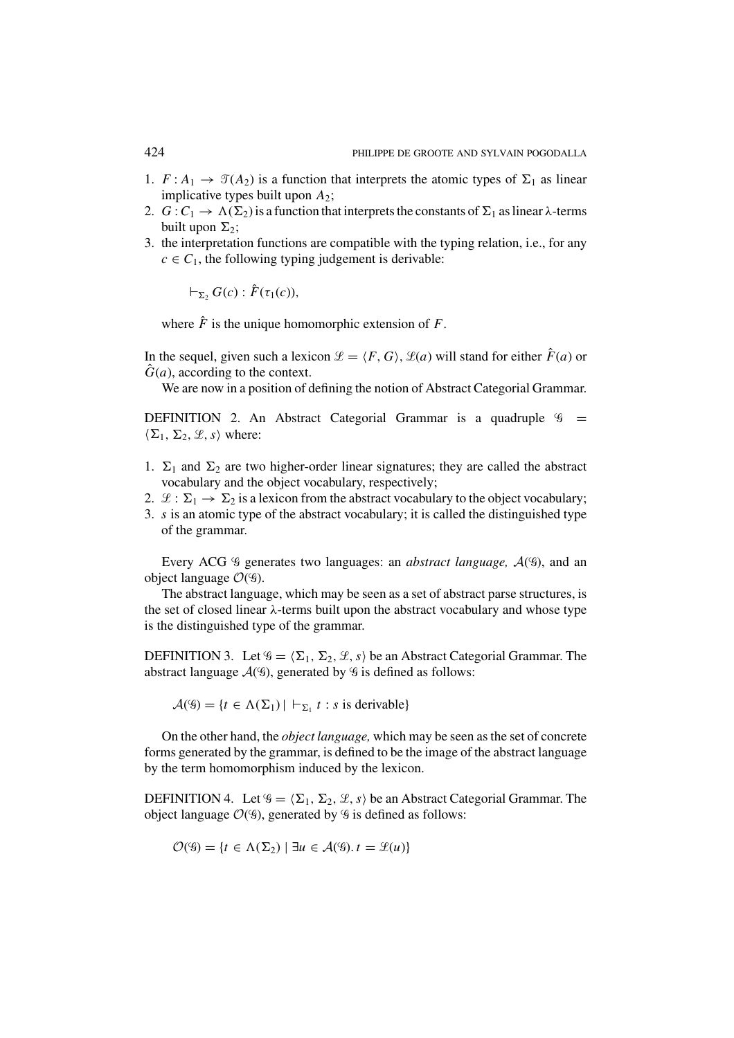- 1.  $F: A_1 \to \mathcal{T}(A_2)$  is a function that interprets the atomic types of  $\Sigma_1$  as linear implicative types built upon *A*2;
- 2.  $G: C_1 \to \Lambda(\Sigma_2)$  is a function that interprets the constants of  $\Sigma_1$  as linear  $\lambda$ -terms built upon  $\Sigma_2$ ;
- 3. the interpretation functions are compatible with the typing relation, i.e., for any  $c \in C_1$ , the following typing judgement is derivable:

 $\vdash_{\Sigma_2} G(c)$ :  $\hat{F}(\tau_1(c)),$ 

where  $\hat{F}$  is the unique homomorphic extension of  $F$ .

In the sequel, given such a lexicon  $\mathcal{L} = \langle F, G \rangle$ ,  $\mathcal{L}(a)$  will stand for either  $\hat{F}(a)$  or  $\hat{G}(a)$ , according to the context.

We are now in a position of defining the notion of Abstract Categorial Grammar.

DEFINITION 2. An Abstract Categorial Grammar is a quadruple  $\mathcal{G}$  =  $\langle \Sigma_1, \Sigma_2, \mathcal{L}, s \rangle$  where:

- 1.  $\Sigma_1$  and  $\Sigma_2$  are two higher-order linear signatures; they are called the abstract vocabulary and the object vocabulary, respectively;
- 2.  $\mathcal{L}: \Sigma_1 \to \Sigma_2$  is a lexicon from the abstract vocabulary to the object vocabulary;
- 3. *s* is an atomic type of the abstract vocabulary; it is called the distinguished type of the grammar.

Every ACG <sup>q</sup> generates two languages: an *abstract language*,  $A($ <sup>q</sup>), and an object language  $O(9)$ .

The abstract language, which may be seen as a set of abstract parse structures, is the set of closed linear λ-terms built upon the abstract vocabulary and whose type is the distinguished type of the grammar.

DEFINITION 3. Let  $\mathscr{G} = \langle \Sigma_1, \Sigma_2, \mathscr{L}, s \rangle$  be an Abstract Categorial Grammar. The abstract language  $\mathcal{A}(\mathcal{G})$ , generated by  $\mathcal{G}$  is defined as follows:

 $\mathcal{A}(\mathscr{G}) = \{t \in \Lambda(\Sigma_1) | \vdash_{\Sigma_1} t : s \text{ is derivable}\}\$ 

On the other hand, the *object language,* which may be seen as the set of concrete forms generated by the grammar, is defined to be the image of the abstract language by the term homomorphism induced by the lexicon.

DEFINITION 4. Let  $\mathscr{G} = \langle \Sigma_1, \Sigma_2, \mathscr{L}, s \rangle$  be an Abstract Categorial Grammar. The object language  $\mathcal{O}(9)$ , generated by  $9$  is defined as follows:

$$
\mathcal{O}(\mathcal{G}) = \{t \in \Lambda(\Sigma_2) \mid \exists u \in \mathcal{A}(\mathcal{G}), t = \mathcal{L}(u)\}
$$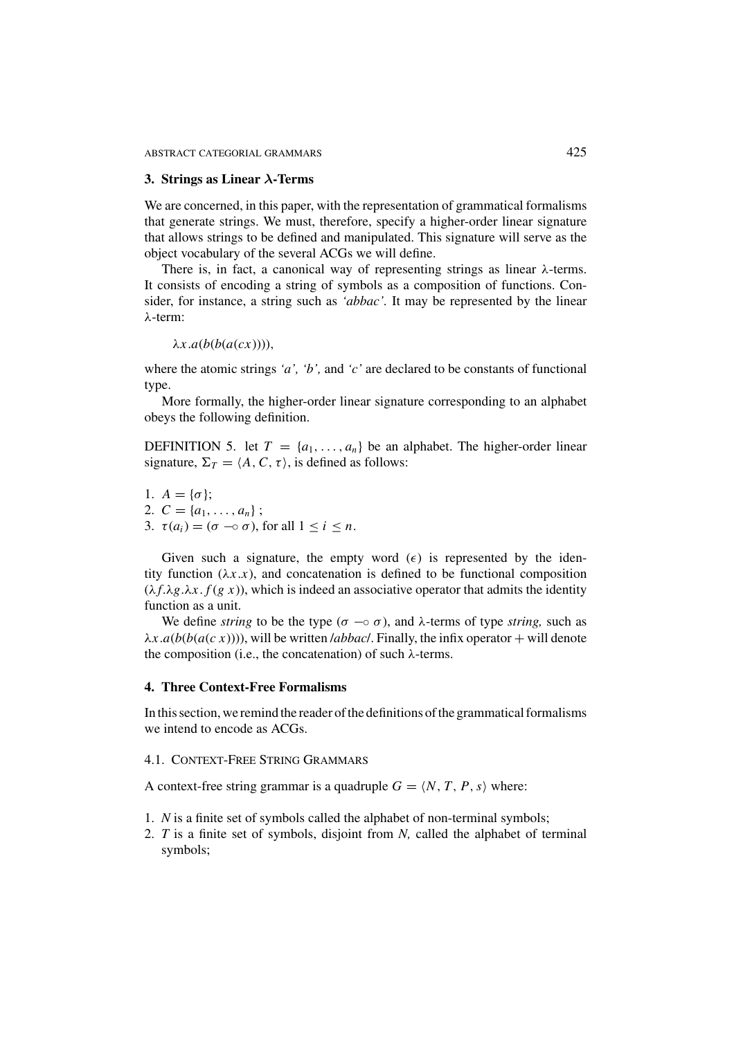#### **3. Strings as Linear** *λ***-Terms**

We are concerned, in this paper, with the representation of grammatical formalisms that generate strings. We must, therefore, specify a higher-order linear signature that allows strings to be defined and manipulated. This signature will serve as the object vocabulary of the several ACGs we will define.

There is, in fact, a canonical way of representing strings as linear  $\lambda$ -terms. It consists of encoding a string of symbols as a composition of functions. Consider, for instance, a string such as *'abbac'.* It may be represented by the linear λ-term:

 $\lambda x$ .*a*(*b*(*b*(*a*(*cx*)))),

where the atomic strings *'a', 'b',* and *'c'* are declared to be constants of functional type.

More formally, the higher-order linear signature corresponding to an alphabet obeys the following definition.

DEFINITION 5. let  $T = \{a_1, \ldots, a_n\}$  be an alphabet. The higher-order linear signature,  $\Sigma_T = \langle A, C, \tau \rangle$ , is defined as follows:

1.  $A = \{\sigma\}$ ; 2.  $C = \{a_1, \ldots, a_n\};$ 3.  $\tau(a_i) = (\sigma \neg \circ \sigma)$ , for all  $1 \leq i \leq n$ .

Given such a signature, the empty word  $(\epsilon)$  is represented by the identity function  $(\lambda x.x)$ , and concatenation is defined to be functional composition  $(\lambda f \lambda g \cdot \lambda x \cdot f(g \cdot x))$ , which is indeed an associative operator that admits the identity function as a unit.

We define *string* to be the type ( $\sigma \neg \circ \sigma$ ), and  $\lambda$ -terms of type *string*, such as  $\lambda x.a(b(b(a(c x))))$ , will be written */abbac/*. Finally, the infix operator + will denote the composition (i.e., the concatenation) of such  $\lambda$ -terms.

# **4. Three Context-Free Formalisms**

In this section, we remind the reader of the definitions of the grammatical formalisms we intend to encode as ACGs.

# 4.1. CONTEXT-FREE STRING GRAMMARS

A context-free string grammar is a quadruple  $G = \langle N, T, P, s \rangle$  where:

- 1. *N* is a finite set of symbols called the alphabet of non-terminal symbols;
- 2. *T* is a finite set of symbols, disjoint from *N,* called the alphabet of terminal symbols;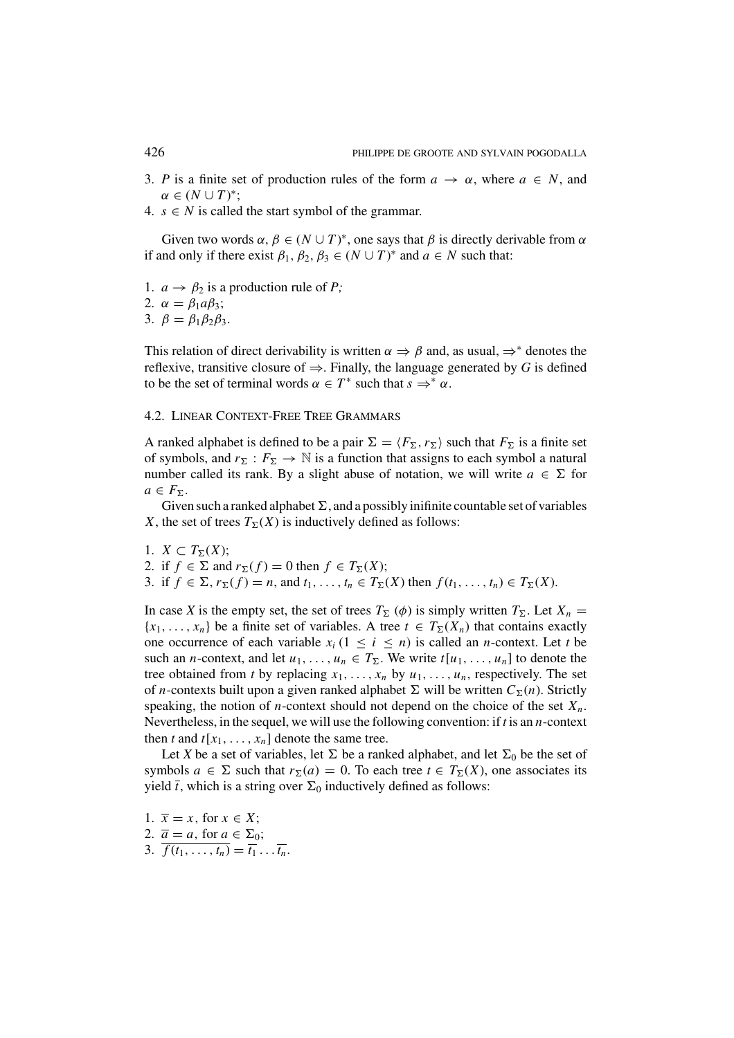- 3. *P* is a finite set of production rules of the form  $a \to \alpha$ , where  $a \in N$ , and  $\alpha \in (N \cup T)^{*};$
- 4.  $s \in N$  is called the start symbol of the grammar.

Given two words  $\alpha$ ,  $\beta \in (N \cup T)^*$ , one says that  $\beta$  is directly derivable from  $\alpha$ if and only if there exist  $\beta_1, \beta_2, \beta_3 \in (N \cup T)^*$  and  $a \in N$  such that:

- 1.  $a \rightarrow \beta_2$  is a production rule of *P*;
- 2.  $\alpha = \beta_1 a \beta_3$ ;
- 3.  $\beta = \beta_1 \beta_2 \beta_3$ .

This relation of direct derivability is written  $\alpha \Rightarrow \beta$  and, as usual,  $\Rightarrow^*$  denotes the reflexive, transitive closure of  $\Rightarrow$ . Finally, the language generated by *G* is defined to be the set of terminal words  $\alpha \in T^*$  such that  $s \Rightarrow^* \alpha$ .

### 4.2. LINEAR CONTEXT-FREE TREE GRAMMARS

A ranked alphabet is defined to be a pair  $\Sigma = \langle F_{\Sigma}, r_{\Sigma} \rangle$  such that  $F_{\Sigma}$  is a finite set of symbols, and  $r_{\Sigma}: F_{\Sigma} \to \mathbb{N}$  is a function that assigns to each symbol a natural number called its rank. By a slight abuse of notation, we will write  $a \in \Sigma$  for  $a \in F_{\Sigma}$ .

Given such a ranked alphabet  $\Sigma$ , and a possibly inifinite countable set of variables *X*, the set of trees  $T_{\Sigma}(X)$  is inductively defined as follows:

1.  $X \subset T_{\Sigma}(X);$ 2. if  $f \in \Sigma$  and  $r_{\Sigma}(f) = 0$  then  $f \in T_{\Sigma}(X)$ ; 3. if  $f \in \Sigma$ ,  $r_{\Sigma}(f) = n$ , and  $t_1, ..., t_n \in T_{\Sigma}(X)$  then  $f(t_1, ..., t_n) \in T_{\Sigma}(X)$ .

In case *X* is the empty set, the set of trees  $T_{\Sigma}(\phi)$  is simply written  $T_{\Sigma}$ . Let  $X_n =$  ${x_1, \ldots, x_n}$  be a finite set of variables. A tree  $t \in T_\Sigma(X_n)$  that contains exactly one occurrence of each variable  $x_i$  ( $1 \le i \le n$ ) is called an *n*-context. Let *t* be such an *n*-context, and let  $u_1, \ldots, u_n \in T_{\Sigma}$ . We write  $t[u_1, \ldots, u_n]$  to denote the tree obtained from *t* by replacing  $x_1, \ldots, x_n$  by  $u_1, \ldots, u_n$ , respectively. The set of *n*-contexts built upon a given ranked alphabet  $\Sigma$  will be written  $C_{\Sigma}(n)$ . Strictly speaking, the notion of *n*-context should not depend on the choice of the set  $X_n$ . Nevertheless, in the sequel, we will use the following convention: if *t* is an *n*-context then *t* and  $t[x_1, \ldots, x_n]$  denote the same tree.

Let *X* be a set of variables, let  $\Sigma$  be a ranked alphabet, and let  $\Sigma_0$  be the set of symbols  $a \in \Sigma$  such that  $r_{\Sigma}(a) = 0$ . To each tree  $t \in T_{\Sigma}(X)$ , one associates its yield  $\bar{t}$ , which is a string over  $\Sigma_0$  inductively defined as follows:

1.  $\overline{x} = x$ , for  $x \in X$ ; 2.  $\overline{a} = a$ , for  $a \in \Sigma_0$ ; 3.  $\overline{f(t_1,...,t_n)} = \overline{t_1}^{\ldots} \cdot \overline{t_n}$ .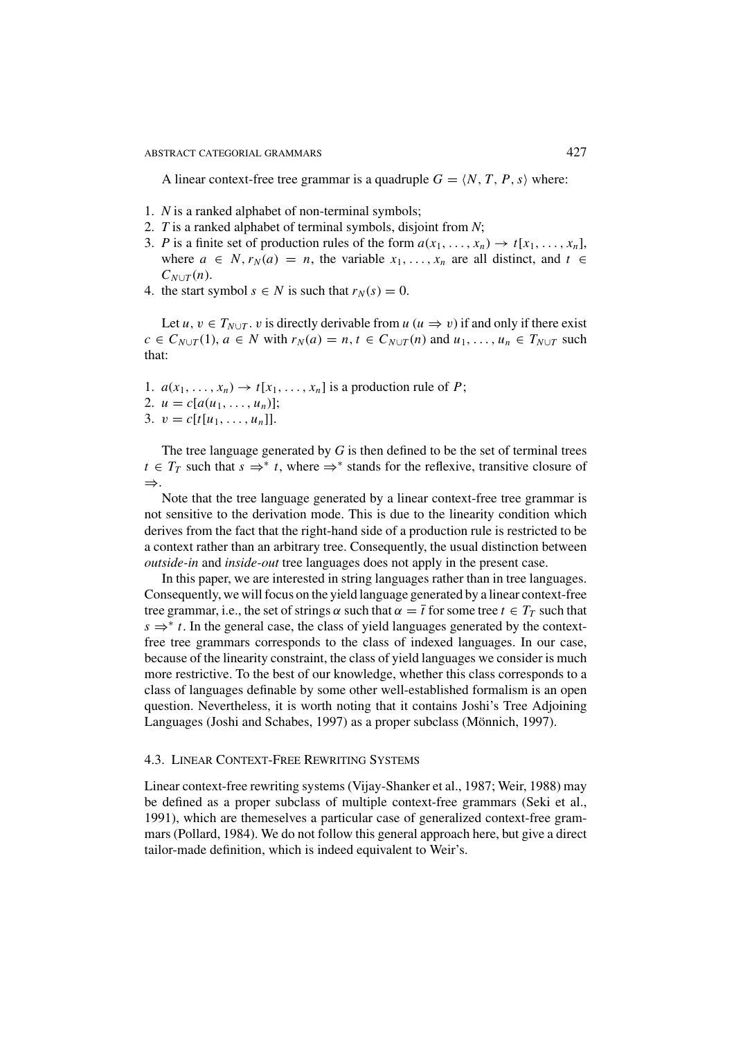A linear context-free tree grammar is a quadruple  $G = \langle N, T, P, s \rangle$  where:

- 1. *N* is a ranked alphabet of non-terminal symbols;
- 2. *T* is a ranked alphabet of terminal symbols, disjoint from *N*;
- 3. *P* is a finite set of production rules of the form  $a(x_1, \ldots, x_n) \rightarrow t[x_1, \ldots, x_n]$ , where  $a \in N$ ,  $r_N(a) = n$ , the variable  $x_1, \ldots, x_n$  are all distinct, and  $t \in$  $C_{N\cup T}(n)$ .
- 4. the start symbol  $s \in N$  is such that  $r_N(s) = 0$ .

Let *u*,  $v \in T_{N \cup T}$ . *v* is directly derivable from *u* ( $u \Rightarrow v$ ) if and only if there exist  $c \in C_{N \cup T}(1)$ ,  $a \in N$  with  $r_N(a) = n$ ,  $t \in C_{N \cup T}(n)$  and  $u_1, \ldots, u_n \in T_{N \cup T}$  such that:

- 1.  $a(x_1, \ldots, x_n) \rightarrow t[x_1, \ldots, x_n]$  is a production rule of *P*;
- 2.  $u = c[a(u_1, \ldots, u_n)]$ ;
- 3.  $v = c[t[u_1, \ldots, u_n]].$

The tree language generated by *G* is then defined to be the set of terminal trees *t* ∈ *T<sub>T</sub>* such that  $s \Rightarrow^* t$ , where  $\Rightarrow^*$  stands for the reflexive, transitive closure of ⇒.

Note that the tree language generated by a linear context-free tree grammar is not sensitive to the derivation mode. This is due to the linearity condition which derives from the fact that the right-hand side of a production rule is restricted to be a context rather than an arbitrary tree. Consequently, the usual distinction between *outside-in* and *inside-out* tree languages does not apply in the present case.

In this paper, we are interested in string languages rather than in tree languages. Consequently, we will focus on the yield language generated by a linear context-free tree grammar, i.e., the set of strings  $\alpha$  such that  $\alpha = \overline{t}$  for some tree  $t \in T_T$  such that  $s \Rightarrow^* t$ . In the general case, the class of yield languages generated by the contextfree tree grammars corresponds to the class of indexed languages. In our case, because of the linearity constraint, the class of yield languages we consider is much more restrictive. To the best of our knowledge, whether this class corresponds to a class of languages definable by some other well-established formalism is an open question. Nevertheless, it is worth noting that it contains Joshi's Tree Adjoining Languages (Joshi and Schabes, 1997) as a proper subclass (Mönnich, 1997).

# 4.3. LINEAR CONTEXT-FREE REWRITING SYSTEMS

Linear context-free rewriting systems (Vijay-Shanker et al., 1987; Weir, 1988) may be defined as a proper subclass of multiple context-free grammars (Seki et al., 1991), which are themeselves a particular case of generalized context-free grammars (Pollard, 1984). We do not follow this general approach here, but give a direct tailor-made definition, which is indeed equivalent to Weir's.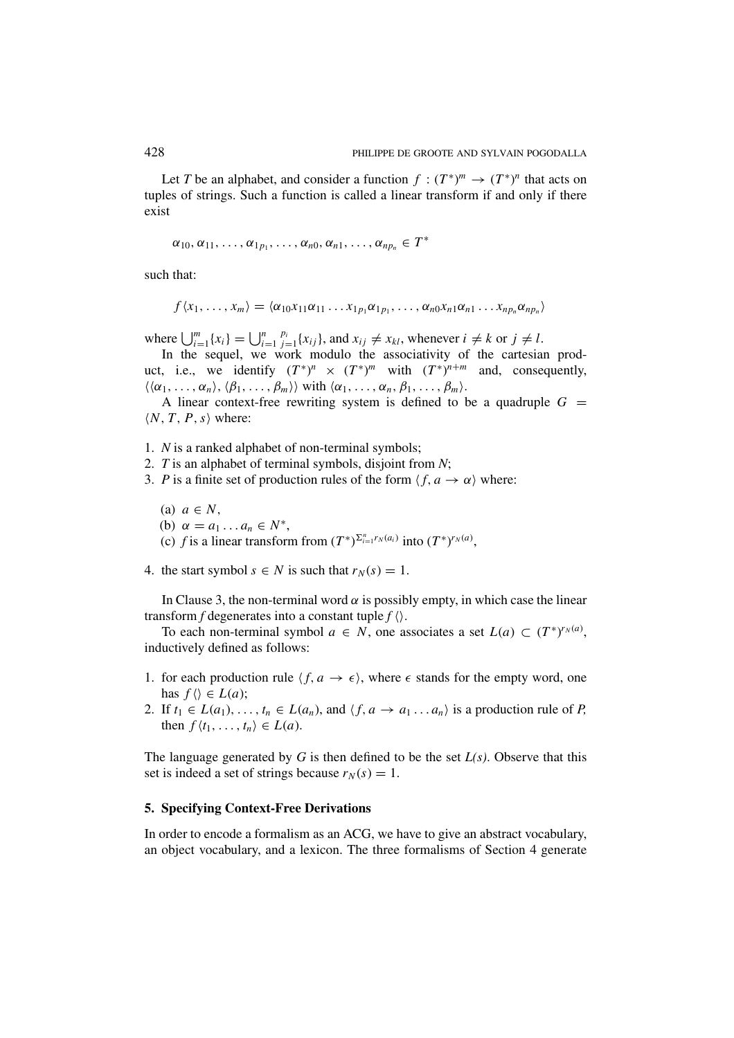Let *T* be an alphabet, and consider a function  $f: (T^*)^m \to (T^*)^n$  that acts on tuples of strings. Such a function is called a linear transform if and only if there exist

$$
\alpha_{10}, \alpha_{11}, \ldots, \alpha_{1p_1}, \ldots, \alpha_{n0}, \alpha_{n1}, \ldots, \alpha_{np_n} \in T^*
$$

such that:

$$
f\langle x_1,\ldots,x_m\rangle=\langle \alpha_{10}x_{11}\alpha_{11}\ldots x_{1p_1}\alpha_{1p_1},\ldots,\alpha_{n0}x_{n1}\alpha_{n1}\ldots x_{np_n}\alpha_{np_n}\rangle
$$

where  $\bigcup_{i=1}^{m} \{x_i\} = \bigcup_{i=1}^{n}$  $p_i$ <sub>*j*=1</sub>{*x<sub>ij</sub>*}, and  $x_{ij} \neq x_{kl}$ , whenever  $i \neq k$  or  $j \neq l$ .

In the sequel, we work modulo the associativity of the cartesian product, i.e., we identify  $(T^*)^n \times (T^*)^m$  with  $(T^*)^{n+m}$  and, consequently,  $\langle \langle \alpha_1, \ldots, \alpha_n \rangle, \langle \beta_1, \ldots, \beta_m \rangle \rangle$  with  $\langle \alpha_1, \ldots, \alpha_n, \beta_1, \ldots, \beta_m \rangle$ .

A linear context-free rewriting system is defined to be a quadruple  $G =$  $\langle N, T, P, s \rangle$  where:

1. *N* is a ranked alphabet of non-terminal symbols;

2. *T* is an alphabet of terminal symbols, disjoint from *N*;

- 3. *P* is a finite set of production rules of the form  $\langle f, a \rightarrow \alpha \rangle$  where:
	- (a)  $a \in N$ ,

(b) 
$$
\alpha = a_1 \dots a_n \in N^*
$$
,

- (c) *f* is a linear transform from  $(T^*)^{\sum_{i=1}^n r_N(a_i)}$  into  $(T^*)^{r_N(a)}$ ,
- 4. the start symbol  $s \in N$  is such that  $r_N(s) = 1$ .

In Clause 3, the non-terminal word  $\alpha$  is possibly empty, in which case the linear transform *f* degenerates into a constant tuple  $f \langle \rangle$ .

To each non-terminal symbol  $a \in N$ , one associates a set  $L(a) \subset (T^*)^{r_N(a)}$ , inductively defined as follows:

- 1. for each production rule  $\langle f, a \rightarrow \epsilon \rangle$ , where  $\epsilon$  stands for the empty word, one has  $f \langle \rangle \in L(a)$ ;
- 2. If  $t_1 \in L(a_1), \ldots, t_n \in L(a_n)$ , and  $\langle f, a \rightarrow a_1 \ldots a_n \rangle$  is a production rule of *P*, then  $f\langle t_1,\ldots,t_n\rangle \in L(a)$ .

The language generated by *G* is then defined to be the set *L(s)*. Observe that this set is indeed a set of strings because  $r_N(s) = 1$ .

### **5. Specifying Context-Free Derivations**

In order to encode a formalism as an ACG, we have to give an abstract vocabulary, an object vocabulary, and a lexicon. The three formalisms of Section 4 generate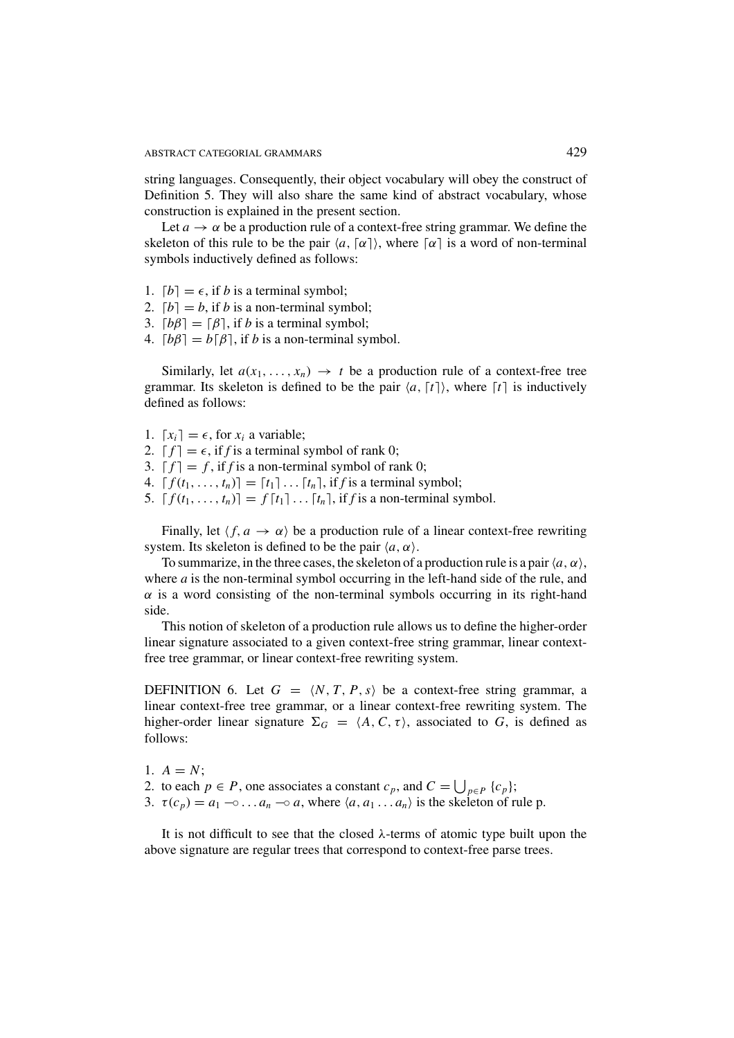string languages. Consequently, their object vocabulary will obey the construct of Definition 5. They will also share the same kind of abstract vocabulary, whose construction is explained in the present section.

Let  $a \rightarrow \alpha$  be a production rule of a context-free string grammar. We define the skeleton of this rule to be the pair  $\langle a, \lceil \alpha \rceil \rangle$ , where  $\lceil \alpha \rceil$  is a word of non-terminal symbols inductively defined as follows:

- 1.  $[b] = \epsilon$ , if *b* is a terminal symbol;
- 2.  $[b] = b$ , if *b* is a non-terminal symbol;
- 3.  $[b\beta] = [\beta]$ , if *b* is a terminal symbol;
- 4.  $[b\beta] = b[\beta]$ , if *b* is a non-terminal symbol.

Similarly, let  $a(x_1,...,x_n) \rightarrow t$  be a production rule of a context-free tree grammar. Its skeleton is defined to be the pair  $\langle a, \lceil t \rceil \rangle$ , where  $\lceil t \rceil$  is inductively defined as follows:

- 1.  $[x_i] = \epsilon$ , for  $x_i$  a variable;
- 2.  $[f] = \epsilon$ , if *f* is a terminal symbol of rank 0;
- 3.  $f = f$ , if *f* is a non-terminal symbol of rank 0;
- 4.  $[f(t_1,..., t_n)] = [t_1] \dots [t_n]$ , if *f* is a terminal symbol;
- 5.  $[f(t_1,\ldots,t_n)]=f[t_1]\ldots[t_n]$ , if *f* is a non-terminal symbol.

Finally, let  $\langle f, a \rightarrow \alpha \rangle$  be a production rule of a linear context-free rewriting system. Its skeleton is defined to be the pair  $\langle a, \alpha \rangle$ .

To summarize, in the three cases, the skeleton of a production rule is a pair  $\langle a, \alpha \rangle$ . where *a* is the non-terminal symbol occurring in the left-hand side of the rule, and  $\alpha$  is a word consisting of the non-terminal symbols occurring in its right-hand side.

This notion of skeleton of a production rule allows us to define the higher-order linear signature associated to a given context-free string grammar, linear contextfree tree grammar, or linear context-free rewriting system.

DEFINITION 6. Let  $G = \langle N, T, P, s \rangle$  be a context-free string grammar, a linear context-free tree grammar, or a linear context-free rewriting system. The higher-order linear signature  $\Sigma_G = \langle A, C, \tau \rangle$ , associated to *G*, is defined as follows:

- 1.  $A = N$ ;
- 2. to each  $p \in P$ , one associates a constant  $c_p$ , and  $C = \bigcup_{p \in P} {c_p};$
- 3.  $\tau(c_p) = a_1 \cdots a_n \cdots a_n$ , where  $\langle a, a_1 \dots a_n \rangle$  is the skeleton of rule p.

It is not difficult to see that the closed  $\lambda$ -terms of atomic type built upon the above signature are regular trees that correspond to context-free parse trees.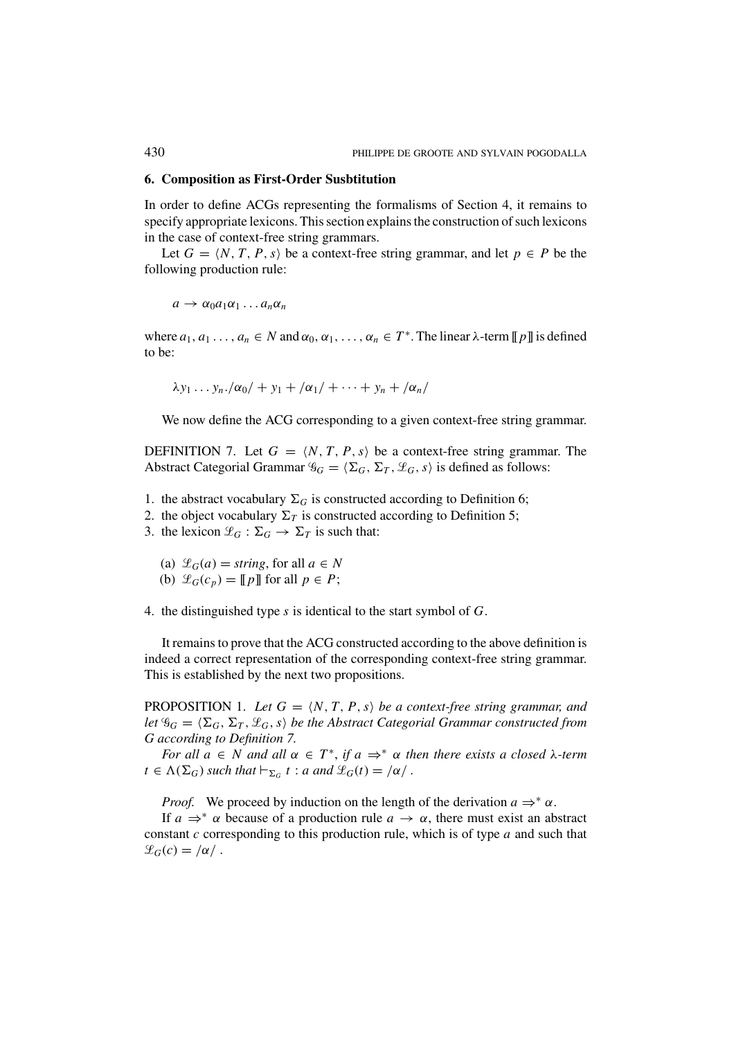#### **6. Composition as First-Order Susbtitution**

In order to define ACGs representing the formalisms of Section 4, it remains to specify appropriate lexicons. This section explains the construction of such lexicons in the case of context-free string grammars.

Let  $G = \langle N, T, P, s \rangle$  be a context-free string grammar, and let  $p \in P$  be the following production rule:

$$
a\to \alpha_0 a_1\alpha_1 \dots a_n\alpha_n
$$

where  $a_1, a_1, \ldots, a_n \in N$  and  $\alpha_0, \alpha_1, \ldots, \alpha_n \in T^*$ . The linear  $\lambda$ -term  $[ [p] ]$  is defined to be:

$$
\lambda y_1 \ldots y_n. |\alpha_0| + y_1 + |\alpha_1| + \cdots + y_n + |\alpha_n|
$$

We now define the ACG corresponding to a given context-free string grammar.

DEFINITION 7. Let  $G = \langle N, T, P, s \rangle$  be a context-free string grammar. The Abstract Categorial Grammar  $\mathscr{G}_G = \langle \Sigma_G, \Sigma_T, \mathscr{L}_G, s \rangle$  is defined as follows:

- 1. the abstract vocabulary  $\Sigma_G$  is constructed according to Definition 6;
- 2. the object vocabulary  $\Sigma_T$  is constructed according to Definition 5;
- 3. the lexicon  $\mathcal{L}_G : \Sigma_G \to \Sigma_T$  is such that:
	- (a)  $\mathcal{L}_G(a) = \text{string}$ , for all  $a \in N$
	- (b)  $\mathcal{L}_G(c_p) = [p]$  for all  $p \in P$ ;

4. the distinguished type *s* is identical to the start symbol of *G*.

It remains to prove that the ACG constructed according to the above definition is indeed a correct representation of the corresponding context-free string grammar. This is established by the next two propositions.

PROPOSITION 1. Let  $G = \langle N, T, P, s \rangle$  be a context-free string grammar, and *let*  $\mathscr{G}_G = \langle \Sigma_G, \Sigma_T, \mathscr{L}_G, s \rangle$  *be the Abstract Categorial Grammar constructed from G according to Definition 7.*

*For all*  $a \in N$  *and all*  $\alpha \in T^*$ , *if*  $a \Rightarrow^* \alpha$  *then there exists a closed*  $\lambda$ *-term*  $t \in \Lambda(\Sigma_G)$  *such that*  $\vdash_{\Sigma_G} t : a$  *and*  $\mathscr{L}_G(t) = \alpha /$ .

*Proof.* We proceed by induction on the length of the derivation  $a \Rightarrow^* \alpha$ .

If  $a \Rightarrow^* \alpha$  because of a production rule  $a \to \alpha$ , there must exist an abstract constant *c* corresponding to this production rule, which is of type *a* and such that  $\mathscr{L}_G(c) = \alpha / c$ .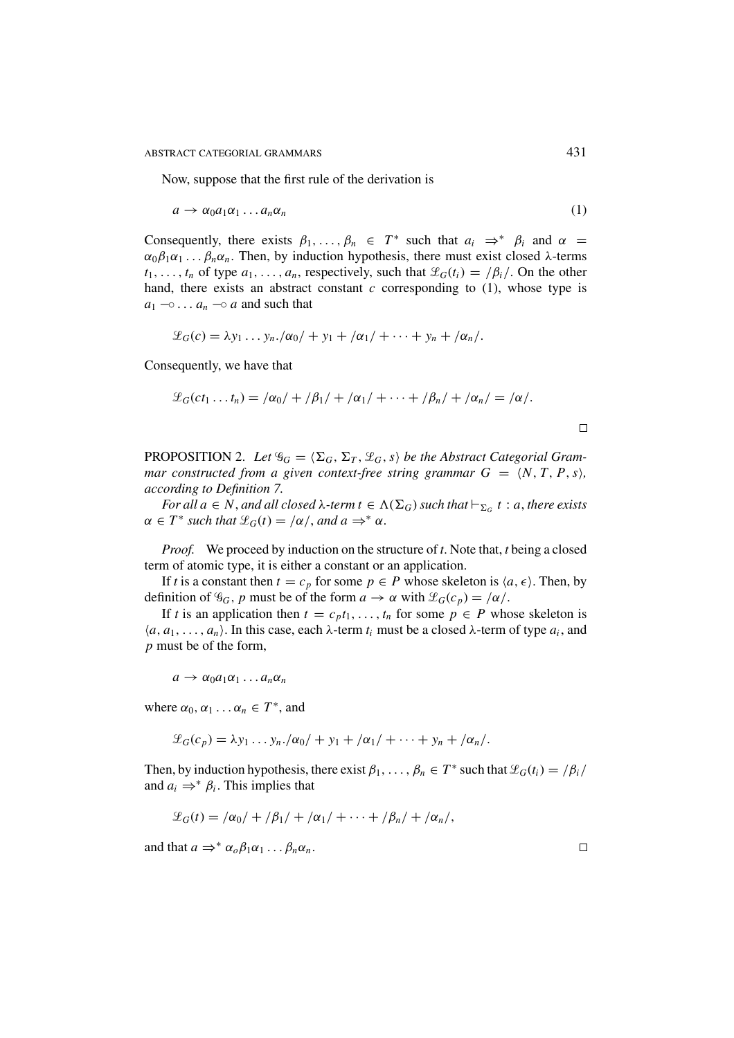Now, suppose that the first rule of the derivation is

$$
a \to \alpha_0 a_1 \alpha_1 \dots a_n \alpha_n \tag{1}
$$

Consequently, there exists  $\beta_1, \ldots, \beta_n \in T^*$  such that  $a_i \Rightarrow^* \beta_i$  and  $\alpha =$  $\alpha_0\beta_1\alpha_1 \ldots \beta_n\alpha_n$ . Then, by induction hypothesis, there must exist closed  $\lambda$ -terms  $t_1, \ldots, t_n$  of type  $a_1, \ldots, a_n$ , respectively, such that  $\mathcal{L}_G(t_i) = \frac{\beta_i}{\cdot}$ . On the other hand, there exists an abstract constant  $c$  corresponding to  $(1)$ , whose type is  $a_1 \neg \neg \neg$ ...  $a_n \neg \neg a$  and such that

$$
\mathcal{L}_G(c) = \lambda y_1 \ldots y_n \cdot / \alpha_0 / + y_1 + / \alpha_1 / + \cdots + y_n + / \alpha_n /.
$$

Consequently, we have that

$$
\mathcal{L}_G(ct_1 \dots t_n) = |\alpha_0| + |\beta_1| + |\alpha_1| + \dots + |\beta_n| + |\alpha_n| = |\alpha|.
$$

PROPOSITION 2. Let  $\mathscr{G}_G = \langle \Sigma_G, \Sigma_T, \mathscr{L}_G, s \rangle$  be the Abstract Categorial Gram*mar constructed from a given context-free string grammar*  $G = \langle N, T, P, s \rangle$ *, according to Definition 7.*

*For all a*  $\in$  *N*, *and all closed*  $\lambda$ -term  $t \in \Lambda(\Sigma_G)$  *such that*  $\vdash_{\Sigma_G} t : a$ , *there exists*  $\alpha \in T^*$  *such that*  $\mathcal{L}_G(t) = / \alpha /$ , *and*  $a \Rightarrow^* \alpha$ .

*Proof.* We proceed by induction on the structure of *t*. Note that, *t* being a closed term of atomic type, it is either a constant or an application.

If *t* is a constant then  $t = c_p$  for some  $p \in P$  whose skeleton is  $\langle a, \epsilon \rangle$ . Then, by definition of  $\mathcal{G}_G$ , *p* must be of the form  $a \to \alpha$  with  $\mathcal{L}_G(c_p) = |\alpha|$ .

If *t* is an application then  $t = c_p t_1, \ldots, t_n$  for some  $p \in P$  whose skeleton is  $\langle a, a_1, \ldots, a_n \rangle$ . In this case, each  $\lambda$ -term  $t_i$  must be a closed  $\lambda$ -term of type  $a_i$ , and *p* must be of the form,

 $a \rightarrow \alpha_0 a_1 \alpha_1 \ldots a_n \alpha_n$ 

where  $\alpha_0, \alpha_1 \ldots \alpha_n \in T^*$ , and

$$
\mathcal{L}_G(c_p) = \lambda y_1 \ldots y_n \cdot \langle \alpha_0 / + y_1 + \langle \alpha_1 / + \cdots + y_n + \langle \alpha_n / \langle \alpha_1 / + y_1 + \langle \alpha_2 / + y_1 \rangle \rangle \rangle
$$

Then, by induction hypothesis, there exist  $\beta_1, \ldots, \beta_n \in T^*$  such that  $\mathcal{L}_G(t_i) = \beta_i / T$ and  $a_i \Rightarrow^* \beta_i$ . This implies that

$$
\mathcal{L}_G(t) = \frac{\alpha_0}{\beta_1} + \frac{\beta_1}{\beta_1} + \frac{\alpha_1}{\beta_1} + \cdots + \frac{\beta_n}{\beta_n} + \frac{\alpha_n}{\beta_n},
$$

and that  $a \Rightarrow^* \alpha_o \beta_1 \alpha_1 \dots \beta_n \alpha_n$ .

 $\Box$ 

 $\Box$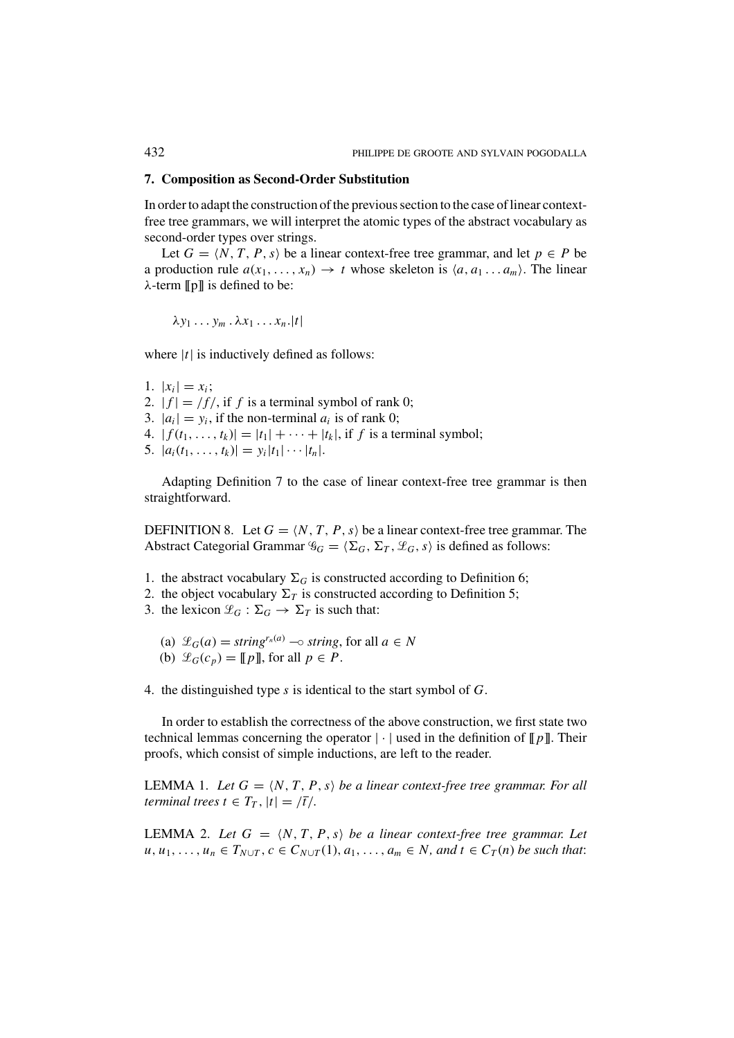#### **7. Composition as Second-Order Substitution**

In order to adapt the construction of the previous section to the case of linear contextfree tree grammars, we will interpret the atomic types of the abstract vocabulary as second-order types over strings.

Let  $G = \langle N, T, P, s \rangle$  be a linear context-free tree grammar, and let  $p \in P$  be a production rule  $a(x_1, \ldots, x_n) \rightarrow t$  whose skeleton is  $\langle a, a_1 \ldots a_m \rangle$ . The linear  $\lambda$ -term [[p]] is defined to be:

$$
\lambda y_1 \ldots y_m \ldotp \lambda x_1 \ldots x_n . |t|
$$

where  $|t|$  is inductively defined as follows:

- 1.  $|x_i| = x_i$ ;
- 2.  $|f| = |f|$ , if f is a terminal symbol of rank 0;
- 3.  $|a_i| = y_i$ , if the non-terminal  $a_i$  is of rank 0;
- 4.  $|f(t_1,..., t_k)| = |t_1| + \cdots + |t_k|$ , if *f* is a terminal symbol;
- 5.  $|a_i(t_1,\ldots,t_k)| = y_i|t_1|\cdots|t_n|.$

Adapting Definition 7 to the case of linear context-free tree grammar is then straightforward.

DEFINITION 8. Let  $G = \langle N, T, P, s \rangle$  be a linear context-free tree grammar. The Abstract Categorial Grammar  $\mathscr{G}_G = \langle \Sigma_G, \Sigma_T, \mathscr{L}_G, s \rangle$  is defined as follows:

- 1. the abstract vocabulary  $\Sigma_G$  is constructed according to Definition 6;
- 2. the object vocabulary  $\Sigma_T$  is constructed according to Definition 5;
- 3. the lexicon  $\mathcal{L}_G : \Sigma_G \to \Sigma_T$  is such that:
	- (a)  $\mathcal{L}_G(a) = \text{string}^{r_n(a)} \rightarrow \text{string}$ , for all  $a \in N$ (b)  $\mathcal{L}_G(c_p) = [p]$ , for all  $p \in P$ .
- 4. the distinguished type *s* is identical to the start symbol of *G*.

In order to establish the correctness of the above construction, we first state two technical lemmas concerning the operator  $|\cdot|$  used in the definition of  $[|p|]$ . Their proofs, which consist of simple inductions, are left to the reader.

LEMMA 1. Let  $G = \langle N, T, P, s \rangle$  be a linear context-free tree grammar. For all *terminal trees t*  $\in$   $T_T$ ,  $|t| = \sqrt{t}/$ .

LEMMA 2. Let  $G = \langle N, T, P, s \rangle$  be a linear context-free tree grammar. Let *u*, *u*<sub>1</sub>, ..., *u<sub>n</sub>* ∈ *T*<sub>*N*∪*T*</sub>, *c* ∈ *C*<sub>*N*∪*T*</sub>(1), *a*<sub>1</sub>, ..., *a*<sub>*m*</sub> ∈ *N*, *and t* ∈ *C*<sub>*T*</sub>(*n*) *be such that*: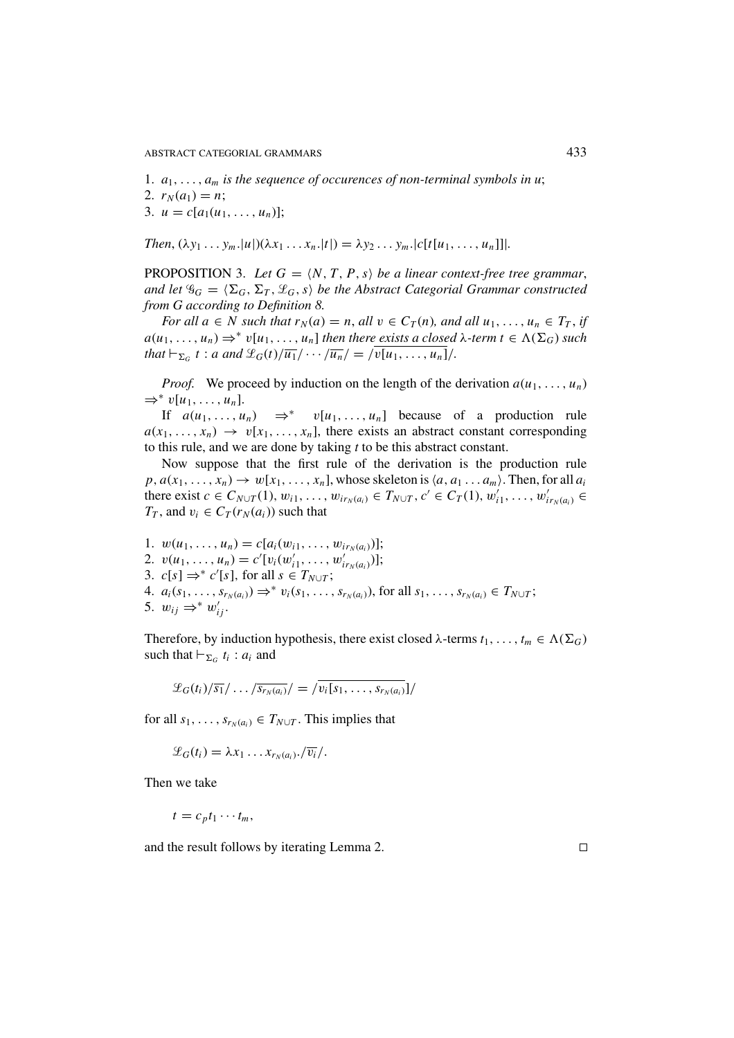ABSTRACT CATEGORIAL GRAMMARS 433

1.  $a_1, \ldots, a_m$  *is the sequence of occurences of non-terminal symbols in u*; 2.  $r_N(a_1) = n$ ; 3.  $u = c[a_1(u_1, \ldots, u_n)];$ 

*Then*,  $(\lambda y_1 \ldots y_m |u|)(\lambda x_1 \ldots x_n |t|) = \lambda y_2 \ldots y_m |c[t[u_1, \ldots, u_n]]$ .

PROPOSITION 3. Let  $G = \langle N, T, P, s \rangle$  be a linear context-free tree grammar, *and let*  $\mathscr{G}_G = \langle \Sigma_G, \Sigma_T, \mathscr{L}_G, s \rangle$  *be the Abstract Categorial Grammar constructed from G according to Definition 8.*

*For all*  $a \in N$  *such that*  $r_N(a) = n$ , *all*  $v \in C_T(n)$ *, and all*  $u_1, \ldots, u_n \in T_T$ , *if*  $a(u_1, \ldots, u_n) \Rightarrow^* v[u_1, \ldots, u_n]$  *then there exists a closed*  $\lambda$ -term  $t \in \Lambda(\Sigma_G)$  *such that*  $\big| \vdash_{\Sigma_G} t : a \text{ and } \mathcal{L}_G(t)/\overline{u_1}/ \cdots / \overline{u_n}/\big| = \big| \overline{v[u_1, \ldots, u_n]} \big|$ .

*Proof.* We proceed by induction on the length of the derivation  $a(u_1, \ldots, u_n)$ ⇒<sup>∗</sup> v[*u*1,..., *un*].

If  $a(u_1, \ldots, u_n) \Rightarrow^* v[u_1, \ldots, u_n]$  because of a production rule  $a(x_1, \ldots, x_n) \rightarrow v[x_1, \ldots, x_n]$ , there exists an abstract constant corresponding to this rule, and we are done by taking *t* to be this abstract constant.

Now suppose that the first rule of the derivation is the production rule  $p, a(x_1, \ldots, x_n) \rightarrow w[x_1, \ldots, x_n]$ , whose skeleton is  $\langle a, a_1 \ldots a_m \rangle$ . Then, for all  $a_i$ there exist  $c \in C_{N \cup T}(1), w_{i1}, \ldots, w_{ir_N(a_i)} \in T_{N \cup T}, c' \in C_T(1), w'_{i1}, \ldots, w'_{ir_N(a_i)} \in$ *T<sub>T</sub>*, and  $v_i \in C_T(r_N(a_i))$  such that

1.  $w(u_1, \ldots, u_n) = c[a_i(w_{i1}, \ldots, w_{ir_N(a_i)})];$ 2.  $v(u_1, \ldots, u_n) = c'[v_i(w'_{i1}, \ldots, w'_{ir_N(a_i)})];$ 3.  $c[s] \Rightarrow^* c'[s]$ , for all  $s \in T_{N \cup T}$ ; 4.  $a_i(s_1, \ldots, s_{r_N(a_i)}) \Rightarrow^* v_i(s_1, \ldots, s_{r_N(a_i)})$ , for all  $s_1, \ldots, s_{r_N(a_i)} \in T_{N \cup T}$ ; 5.  $w_{ij} \Rightarrow^* w'_{ij}$ .

Therefore, by induction hypothesis, there exist closed  $\lambda$ -terms  $t_1, \ldots, t_m \in \Lambda(\Sigma_G)$ such that  $\vdash_{\Sigma_G} t_i : a_i$  and

$$
\mathcal{L}_G(t_i)/\overline{s_1}/\ldots/\overline{s_{r_N(a_i)}}/=\overline{v_i[s_1,\ldots,s_{r_N(a_i)}}]/
$$

for all  $s_1, \ldots, s_{r_N(a_i)} \in T_{N \cup T}$ . This implies that

$$
\mathscr{L}_G(t_i)=\lambda x_1\ldots x_{r_N(a_i)}.\overline{v_i}/.
$$

Then we take

$$
t=c_p t_1\cdots t_m,
$$

and the result follows by iterating Lemma 2.

 $\Box$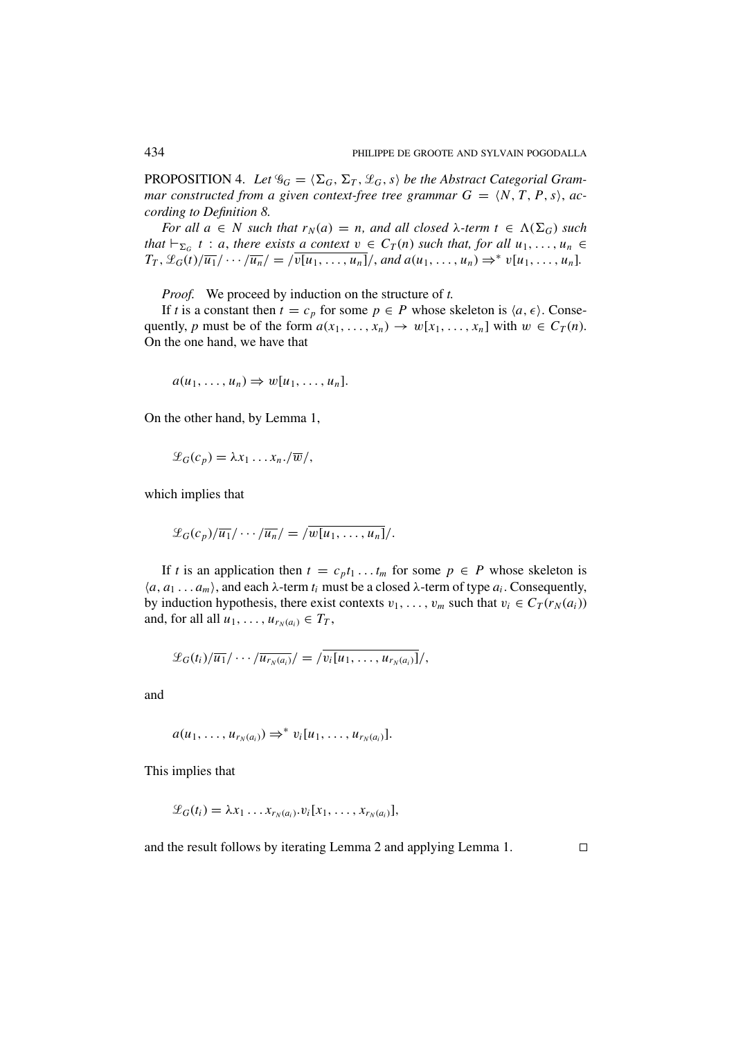PROPOSITION 4. Let  $\mathscr{G}_G = \langle \Sigma_G, \Sigma_T, \mathscr{L}_G, s \rangle$  be the Abstract Categorial Gram*mar constructed from a given context-free tree grammar*  $G = \langle N, T, P, s \rangle$ *, according to Definition 8.*

*For* all  $a \in N$  *such that*  $r_N(a) = n$ *, and all closed*  $\lambda$ *-term*  $t \in \Lambda(\Sigma_G)$  *such that*  $\vdash_{\Sigma_G} t : a$ , *there exists a context*  $v \in C_T(n)$  *such that, for all*  $u_1, \ldots, u_n \in$  $T_T$ ,  $\mathscr{L}_G(t)/\overline{u_1}/\cdots/\overline{u_n}/=\sqrt{v[u_1,\ldots,u_n]}/$ , *and*  $a(u_1,\ldots,u_n) \Rightarrow^* v[u_1,\ldots,u_n]$ .

*Proof.* We proceed by induction on the structure of *t.*

If *t* is a constant then  $t = c_p$  for some  $p \in P$  whose skeleton is  $\langle a, \epsilon \rangle$ . Consequently, *p* must be of the form  $a(x_1, \ldots, x_n) \rightarrow w[x_1, \ldots, x_n]$  with  $w \in C_T(n)$ . On the one hand, we have that

$$
a(u_1,\ldots,u_n)\Rightarrow w[u_1,\ldots,u_n].
$$

On the other hand, by Lemma 1,

$$
\mathscr{L}_G(c_p)=\lambda x_1\ldots x_n.\sqrt{w}/,
$$

which implies that

$$
\mathscr{L}_G(c_p)/\overline{u_1}/\cdots/\overline{u_n}/=\overline{w[u_1,\ldots,u_n]}/.
$$

If *t* is an application then  $t = c_p t_1 \dots t_m$  for some  $p \in P$  whose skeleton is  $\langle a, a_1 \dots a_m \rangle$ , and each  $\lambda$ -term  $t_i$  must be a closed  $\lambda$ -term of type  $a_i$ . Consequently, by induction hypothesis, there exist contexts  $v_1, \ldots, v_m$  such that  $v_i \in C_T(r_N(a_i))$ and, for all all  $u_1, \ldots, u_{r_N(a_i)} \in T_T$ ,

$$
\mathscr{L}_G(t_i)/\overline{u_1}/\cdots/\overline{u_{r_N(a_i)}}/\equiv/\overline{v_i[u_1,\ldots,u_{r_N(a_i)}]}/,
$$

and

$$
a(u_1,\ldots,u_{r_N(a_i)})\Rightarrow^* v_i[u_1,\ldots,u_{r_N(a_i)}].
$$

This implies that

$$
\mathcal{L}_G(t_i) = \lambda x_1 \dots x_{r_N(a_i)} \cdot v_i[x_1, \dots, x_{r_N(a_i)}],
$$

and the result follows by iterating Lemma 2 and applying Lemma 1.

 $\Box$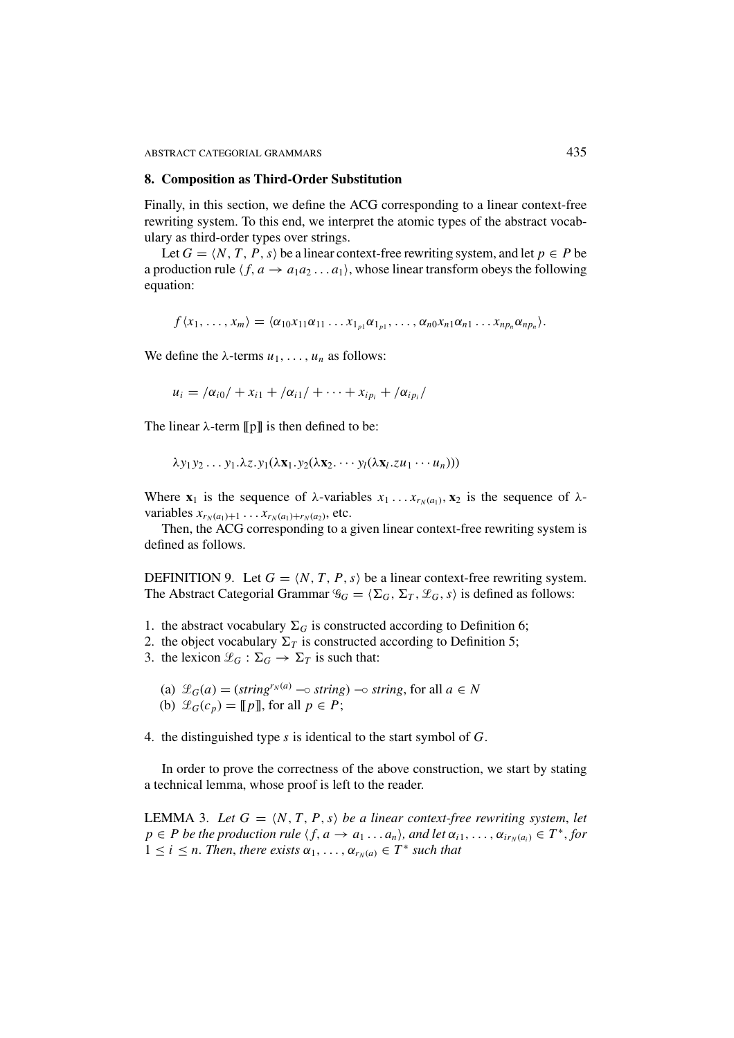ABSTRACT CATEGORIAL GRAMMARS 435

#### **8. Composition as Third-Order Substitution**

Finally, in this section, we define the ACG corresponding to a linear context-free rewriting system. To this end, we interpret the atomic types of the abstract vocabulary as third-order types over strings.

Let  $G = \langle N, T, P, s \rangle$  be a linear context-free rewriting system, and let  $p \in P$  be a production rule  $\langle f, a \rightarrow a_1 a_2 \dots a_1 \rangle$ , whose linear transform obeys the following equation:

 $f\langle x_1,\ldots,x_m\rangle = \langle \alpha_{10}x_{11}\alpha_{11} \ldots x_{1_{p_1}}\alpha_{1_{p_1}},\ldots,\alpha_{n0}x_{n1}\alpha_{n1} \ldots x_{np_n}\alpha_{np_n}\rangle.$ 

We define the  $\lambda$ -terms  $u_1, \ldots, u_n$  as follows:

$$
u_i = \frac{\alpha_{i0}}{+x_{i1} + \alpha_{i1}} + \cdots + x_{ip_i} + \frac{\alpha_{ip_i}}{+}
$$

The linear  $\lambda$ -term  $[\![p]\!]$  is then defined to be:

$$
\lambda y_1 y_2 \ldots y_1 \lambda z. y_1(\lambda x_1 . y_2(\lambda x_2 . \cdots y_l(\lambda x_l . z u_1 \cdots u_n)))
$$

Where  $\mathbf{x}_1$  is the sequence of  $\lambda$ -variables  $x_1 \ldots x_{r_N(a_1)}$ ,  $\mathbf{x}_2$  is the sequence of  $\lambda$ *variables*  $x_{r_N(a_1)+1} \ldots x_{r_N(a_1)+r_N(a_2)}$ , etc.

Then, the ACG corresponding to a given linear context-free rewriting system is defined as follows.

DEFINITION 9. Let  $G = \langle N, T, P, s \rangle$  be a linear context-free rewriting system. The Abstract Categorial Grammar  $\mathscr{G}_G = \langle \Sigma_G, \Sigma_T, \mathscr{L}_G, s \rangle$  is defined as follows:

- 1. the abstract vocabulary  $\Sigma_G$  is constructed according to Definition 6;
- 2. the object vocabulary  $\Sigma_T$  is constructed according to Definition 5;
- 3. the lexicon  $\mathcal{L}_G : \Sigma_G \to \Sigma_T$  is such that:
	- (a)  $\mathcal{L}_G(a) = (\text{string}^{r_N(a)} \text{ -} \circ \text{string}) \text{ -} \circ \text{string}, \text{ for all } a \in N$ (b)  $\mathcal{L}_G(c_p) = [p]$ , for all  $p \in P$ ;
- 4. the distinguished type *s* is identical to the start symbol of *G*.

In order to prove the correctness of the above construction, we start by stating a technical lemma, whose proof is left to the reader.

LEMMA 3. Let  $G = \langle N, T, P, s \rangle$  be a linear context-free rewriting system, let  $p \in P$  *be the production rule*  $\langle f, a \rightarrow a_1 \dots a_n \rangle$ , and let  $\alpha_{i1}, \dots, \alpha_{ir_N(a_i)} \in T^*$ , for  $1 \leq i \leq n$ . Then, there exists  $\alpha_1, \ldots, \alpha_{r_N(a)} \in T^*$  such that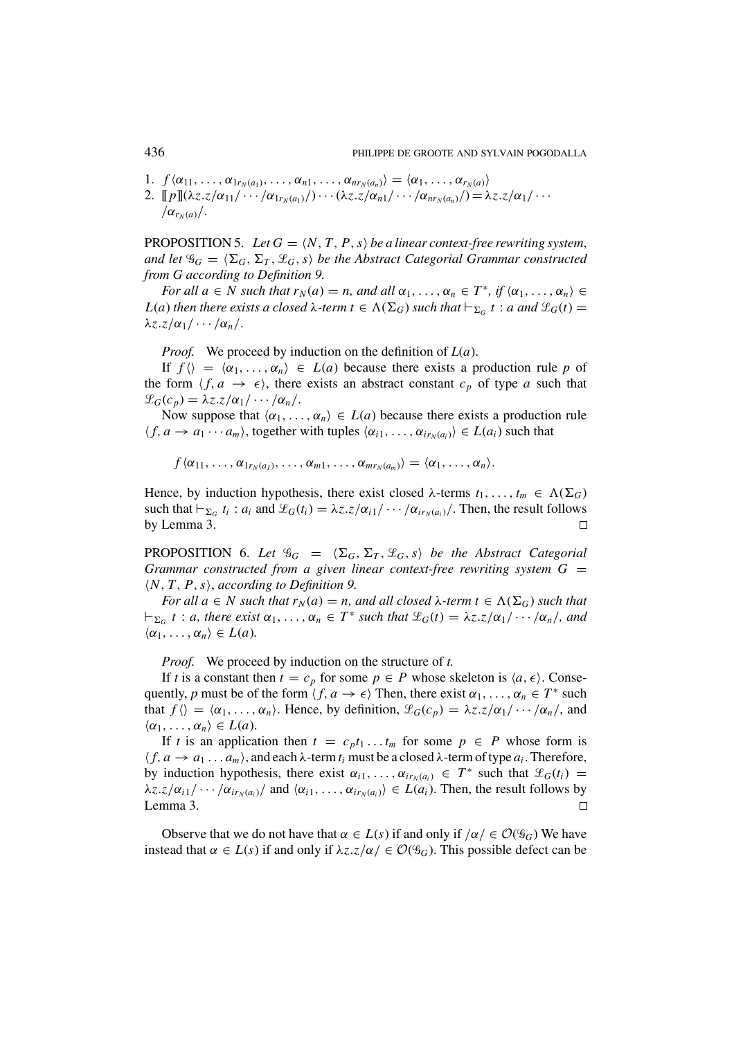- 1.  $f\langle \alpha_{11},\ldots,\alpha_{1r_N(a_1)},\ldots,\alpha_{n1},\ldots,\alpha_{nr_N(a_n)}\rangle = \langle \alpha_1,\ldots,\alpha_{r_N(a)}\rangle$
- 2.  $[\![p]\!](\lambda z.z/\alpha_{11}/ \cdots / \alpha_{1r_N(a_1)}/ \cdots (\lambda z.z/\alpha_{n1}/ \cdots / \alpha_{nr_N(a_n)}/ ) = \lambda z.z/\alpha_1 / \cdots$  $\alpha_{r_N(a)}$ .

PROPOSITION 5. Let  $G = \langle N, T, P, s \rangle$  be a linear context-free rewriting system, *and let*  $\mathscr{G}_G = \langle \Sigma_G, \Sigma_T, \mathscr{L}_G, s \rangle$  *be the Abstract Categorial Grammar constructed from G according to Definition 9.*

*For all*  $a \in N$  *such that*  $r_N(a) = n$ *, and all*  $\alpha_1, \ldots, \alpha_n \in T^*$ *, if*  $\langle \alpha_1, \ldots, \alpha_n \rangle \in T^*$ *L*(*a*) *then there exists a closed*  $\lambda$ *-term*  $t \in \Lambda(\Sigma_G)$  *<i>such that*  $\vdash_{\Sigma_G} t : a$  *and*  $\mathcal{L}_G(t) =$  $\lambda z \cdot z/\alpha_1 / \cdots / \alpha_n$ .

*Proof.* We proceed by induction on the definition of *L*(*a*).

If  $f \langle \rangle = \langle \alpha_1, \ldots, \alpha_n \rangle \in L(a)$  because there exists a production rule p of the form  $\langle f, a \rightarrow \epsilon \rangle$ , there exists an abstract constant  $c_p$  of type *a* such that  $\mathscr{L}_G(c_p) = \lambda z \cdot z / \alpha_1 / \cdots / \alpha_n$ 

Now suppose that  $\langle \alpha_1, \ldots, \alpha_n \rangle \in L(a)$  because there exists a production rule  $\langle f, a \rightarrow a_1 \cdots a_m \rangle$ , together with tuples  $\langle \alpha_{i1}, \ldots, \alpha_{ir_N(a_i)} \rangle \in L(a_i)$  such that

 $f\langle \alpha_{11},\ldots,\alpha_{1r_N(a_1)},\ldots,\alpha_{m1},\ldots,\alpha_{mr_N(a_m)}\rangle = \langle \alpha_1,\ldots,\alpha_n\rangle.$ 

Hence, by induction hypothesis, there exist closed  $\lambda$ -terms  $t_1, \ldots, t_m \in \Lambda(\Sigma_G)$ such that  $\vdash_{\Sigma_G} t_i : a_i$  and  $\mathcal{L}_G(t_i) = \lambda z.z/\alpha_{i1}/ \cdots / \alpha_{ir_N(a_i)}/$ . Then, the result follows by Lemma 3.  $\Box$ 

**PROPOSITION** 6. Let  $\mathscr{G}_G = \langle \Sigma_G, \Sigma_T, \mathscr{L}_G, s \rangle$  be the Abstract Categorial *Grammar constructed from a given linear context-free rewriting system G = N*, *T*, *P*,*s*, *according to Definition 9.*

*For all a*  $\in$  *N such that*  $r_N(a) = n$ *, and all closed*  $\lambda$ *-term t*  $\in \Lambda(\Sigma_G)$  *such that*  $\vdash_{\Sigma_G} t : a$ , there exist  $\alpha_1, \ldots, \alpha_n \in T^*$  such that  $\mathscr{L}_G(t) = \lambda z. z/\alpha_1/\cdots/\alpha_n$ , and  $\langle \alpha_1, \ldots, \alpha_n \rangle \in L(a)$ .

*Proof.* We proceed by induction on the structure of *t.*

If *t* is a constant then  $t = c_p$  for some  $p \in P$  whose skeleton is  $\langle a, \epsilon \rangle$ . Consequently, *p* must be of the form  $\langle f, a \rightarrow \epsilon \rangle$  Then, there exist  $\alpha_1, \ldots, \alpha_n \in T^*$  such that  $f(\theta) = \langle \alpha_1, \ldots, \alpha_n \rangle$ . Hence, by definition,  $\mathcal{L}_G(c_p) = \lambda z \cdot z / \alpha_1 / \cdots / \alpha_n /$ , and  $\langle \alpha_1, \ldots, \alpha_n \rangle \in L(a)$ .

If *t* is an application then  $t = c_p t_1 \dots t_m$  for some  $p \in P$  whose form is  $\langle f, a \rightarrow a_1 \dots a_m \rangle$ , and each  $\lambda$ -term  $t_i$  must be a closed  $\lambda$ -term of type  $a_i$ . Therefore, by induction hypothesis, there exist  $\alpha_{i1}, \ldots, \alpha_{ir_N(a_i)} \in T^*$  such that  $\mathcal{L}_G(t_i)$  =  $\lambda z.z/\alpha_{i1}/ \cdots / \alpha_{ir_N(a_i)}$  and  $\langle \alpha_{i1}, \ldots, \alpha_{ir_N(a_i)} \rangle \in L(a_i)$ . Then, the result follows by Lemma 3.  $\Box$ 

Observe that we do not have that  $\alpha \in L(s)$  if and only if  $/\alpha \in \mathcal{O}(\mathscr{G}_G)$  We have instead that  $\alpha \in L(s)$  if and only if  $\lambda z. z/\alpha \in \mathcal{O}(\mathscr{G}_G)$ . This possible defect can be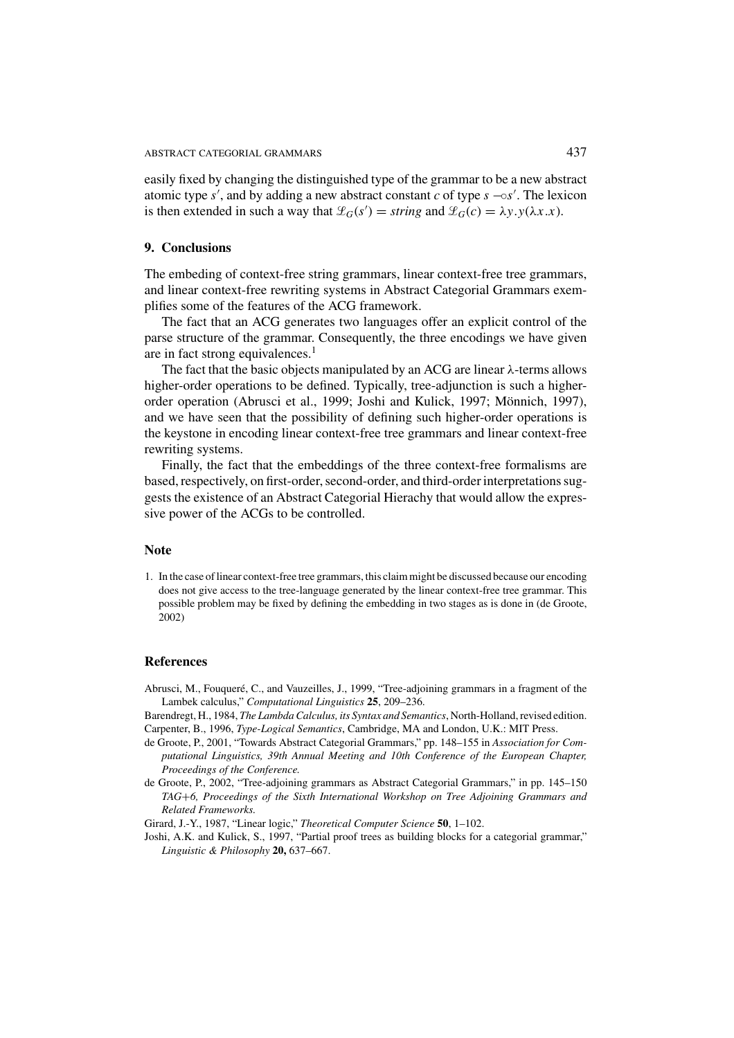easily fixed by changing the distinguished type of the grammar to be a new abstract atomic type  $s'$ , and by adding a new abstract constant  $c$  of type  $s - ∘ s'$ . The lexicon is then extended in such a way that  $\mathcal{L}_G(s') =$  *string* and  $\mathcal{L}_G(c) = \lambda y \cdot y(\lambda x \cdot x)$ .

### **9. Conclusions**

The embeding of context-free string grammars, linear context-free tree grammars, and linear context-free rewriting systems in Abstract Categorial Grammars exemplifies some of the features of the ACG framework.

The fact that an ACG generates two languages offer an explicit control of the parse structure of the grammar. Consequently, the three encodings we have given are in fact strong equivalences.<sup>1</sup>

The fact that the basic objects manipulated by an ACG are linear  $\lambda$ -terms allows higher-order operations to be defined. Typically, tree-adjunction is such a higherorder operation (Abrusci et al., 1999; Joshi and Kulick, 1997; Mönnich, 1997), and we have seen that the possibility of defining such higher-order operations is the keystone in encoding linear context-free tree grammars and linear context-free rewriting systems.

Finally, the fact that the embeddings of the three context-free formalisms are based, respectively, on first-order, second-order, and third-order interpretations suggests the existence of an Abstract Categorial Hierachy that would allow the expressive power of the ACGs to be controlled.

# **Note**

1. In the case of linear context-free tree grammars, this claim might be discussed because our encoding does not give access to the tree-language generated by the linear context-free tree grammar. This possible problem may be fixed by defining the embedding in two stages as is done in (de Groote, 2002)

#### **References**

Abrusci, M., Fouqueré, C., and Vauzeilles, J., 1999, "Tree-adjoining grammars in a fragment of the Lambek calculus," *Computational Linguistics* **25**, 209–236.

Barendregt, H., 1984, *The Lambda Calculus, its Syntax and Semantics*, North-Holland, revised edition. Carpenter, B., 1996, *Type-Logical Semantics*, Cambridge, MA and London, U.K.: MIT Press.

- de Groote, P., 2001, "Towards Abstract Categorial Grammars," pp. 148–155 in *Association for Computational Linguistics, 39th Annual Meeting and 10th Conference of the European Chapter, Proceedings of the Conference.*
- de Groote, P., 2002, "Tree-adjoining grammars as Abstract Categorial Grammars," in pp. 145–150 *TAG*+*6, Proceedings of the Sixth International Workshop on Tree Adjoining Grammars and Related Frameworks.*

Girard, J.-Y., 1987, "Linear logic," *Theoretical Computer Science* **50**, 1–102.

Joshi, A.K. and Kulick, S., 1997, "Partial proof trees as building blocks for a categorial grammar," *Linguistic & Philosophy* **20,** 637–667.